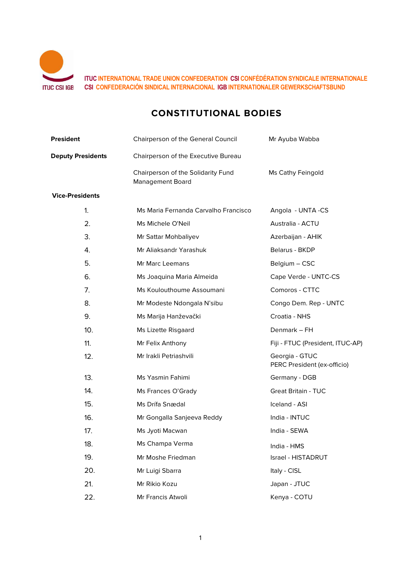

**ITUC INTERNATIONAL TRADE UNION CONFEDERATION CSI CONFÉDÉRATION SYNDICALE INTERNATIONALE CSI CONFEDERACIÓN SINDICAL INTERNACIONAL IGB INTERNATIONALER GEWERKSCHAFTSBUND**

# **CONSTITUTIONAL BODIES**

| <b>President</b>         | Chairperson of the General Council                            | Mr Ayuba Wabba                                |
|--------------------------|---------------------------------------------------------------|-----------------------------------------------|
| <b>Deputy Presidents</b> | Chairperson of the Executive Bureau                           |                                               |
|                          | Chairperson of the Solidarity Fund<br><b>Management Board</b> | Ms Cathy Feingold                             |
| <b>Vice-Presidents</b>   |                                                               |                                               |
| 1.                       | Ms Maria Fernanda Carvalho Francisco                          | Angola - UNTA -CS                             |
| 2.                       | Ms Michele O'Neil                                             | Australia - ACTU                              |
| 3.                       | Mr Sattar Mohbaliyev                                          | Azerbaijan - AHIK                             |
| 4.                       | Mr Aliaksandr Yarashuk                                        | Belarus - BKDP                                |
| 5.                       | Mr Marc Leemans                                               | Belgium - CSC                                 |
| 6.                       | Ms Joaquina Maria Almeida                                     | Cape Verde - UNTC-CS                          |
| 7.                       | Ms Koulouthoume Assoumani                                     | Comoros - CTTC                                |
| 8.                       | Mr Modeste Ndongala N'sibu                                    | Congo Dem. Rep - UNTC                         |
| 9.                       | Ms Marija Hanževački                                          | Croatia - NHS                                 |
| 10.                      | Ms Lizette Risgaard                                           | Denmark - FH                                  |
| 11.                      | Mr Felix Anthony                                              | Fiji - FTUC (President, ITUC-AP)              |
| 12.                      | Mr Irakli Petriashvili                                        | Georgia - GTUC<br>PERC President (ex-officio) |
| 13.                      | Ms Yasmin Fahimi                                              | Germany - DGB                                 |
| 14.                      | Ms Frances O'Grady                                            | <b>Great Britain - TUC</b>                    |
| 15.                      | Ms Drífa Snædal                                               | Iceland - ASI                                 |
| 16.                      | Mr Gongalla Sanjeeva Reddy                                    | India - INTUC                                 |
| 17.                      | Ms Jyoti Macwan                                               | India - SEWA                                  |
| 18.                      | Ms Champa Verma                                               | India - HMS                                   |
| 19.                      | Mr Moshe Friedman                                             | Israel - HISTADRUT                            |
| 20.                      | Mr Luigi Sbarra                                               | Italy - CISL                                  |
| 21.                      | Mr Rikio Kozu                                                 | Japan - JTUC                                  |
| 22.                      | Mr Francis Atwoli                                             | Kenya - COTU                                  |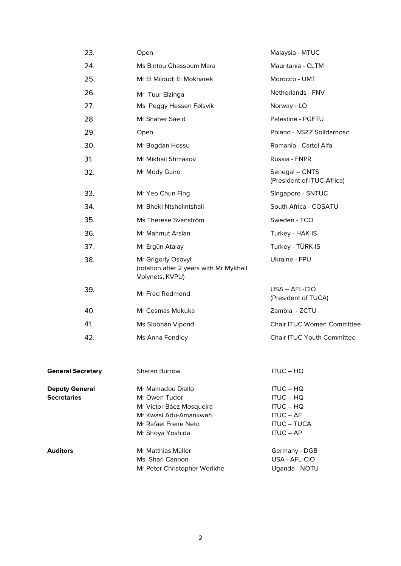| 23.                      | Open                                                                             | Malaysia - MTUC                              |
|--------------------------|----------------------------------------------------------------------------------|----------------------------------------------|
| 24.                      | Ms Bintou Ghassoum Mara                                                          | Mauritania - CLTM                            |
| 25.                      | Mr El Miloudi El Mokharek                                                        | Morocco - UMT                                |
| 26.                      | Mr Tuur Elzinga                                                                  | Netherlands - FNV                            |
| 27.                      | Ms Peggy Hessen Følsvik                                                          | Norway - LO                                  |
| 28.                      | Mr Shaher Sae'd                                                                  | Palestine - PGFTU                            |
| 29.                      | Open                                                                             | Poland - NSZZ Solidarnosc                    |
| 30.                      | Mr Bogdan Hossu                                                                  | Romania - Cartel Alfa                        |
| 31.                      | Mr Mikhail Shmakov                                                               | Russia - FNPR                                |
| 32.                      | Mr Mody Guiro                                                                    | Senegal - CNTS<br>(President of ITUC-Africa) |
| 33.                      | Mr Yeo Chun Fing                                                                 | Singapore - SNTUC                            |
| 34.                      | Mr Bheki Ntshalintshali                                                          | South Africa - COSATU                        |
| 35.                      | Ms Therese Svanström                                                             | Sweden - TCO                                 |
| 36.                      | Mr Mahmut Arslan                                                                 | Turkey - HAK-IS                              |
| 37.                      | Mr Ergün Atalay                                                                  | Turkey - TÜRK-IS                             |
| 38.                      | Mr Grigoriy Osovyi<br>(rotation after 2 years with Mr Mykhail<br>Volynets, KVPU) | Ukraine - FPU                                |
| 39.                      | Mr Fred Redmond                                                                  | $USA - AFL-CIO$<br>(President of TUCA)       |
| 40.                      | Mr Cosmas Mukuka                                                                 | Zambia - ZCTU                                |
| 41.                      | Ms Siobhán Vipond                                                                | <b>Chair ITUC Women Committee</b>            |
| 42.                      | Ms Anna Fendley                                                                  | <b>Chair ITUC Youth Committee</b>            |
| <b>General Secretary</b> | Sharan Burrow                                                                    | <b>ITUC – HQ</b>                             |
| <b>Deputy General</b>    | Mr Mamadou Diallo                                                                | <b>ITUC – HQ</b>                             |

**Deputy General Secretaries**

**Auditors** 

| Mr Owen Tudor                | ITUC – HQ          |
|------------------------------|--------------------|
| Mr Víctor Báez Mosqueira     | ITUC - HQ          |
| Mr Kwasi Adu-Amankwah        | ITUC – AF          |
| Mr Rafael Freire Neto        | <b>ITUC – TUCA</b> |
| Mr Shoya Yoshida             | $ITUC - AP$        |
| Mr Matthias Müller           | Germany - DGB      |
| Ms Shari Cannon              | USA - AFL-CIO      |
| Mr Peter Christopher Werikhe | Uganda - NOTU      |
|                              |                    |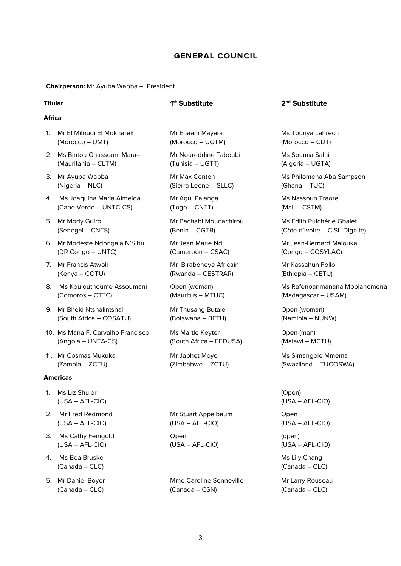# **GENERAL COUNCIL**

**Chairperson:** Mr Ayuba Wabba – President

#### **Africa**

- 1. Mr El Miloudi El Mokharek (Morocco – UMT)
- 2. Ms Bintou Ghassoum Mara– (Mauritania – CLTM)
- 3. Mr Ayuba Wabba (Nigeria – NLC)
- 4. Ms Joaquina Maria Almeida (Cape Verde – UNTC-CS)
- 5. Mr Mody Guiro (Senegal – CNTS)
- 6. Mr Modeste Ndongala N'Sibu (DR Congo – UNTC)
- 7. Mr Francis Atwoli (Kenya – COTU)
- 8. Ms Koulouthoume Assoumani (Comoros – CTTC)
- 9. Mr Bheki Ntshalintshali (South Africa – COSATU)
- 10. Ms Maria F. Carvalho Francisco (Angola – UNTA-CS)
- 11. Mr Cosmas Mukuka (Zambia – ZCTU)

#### **Americas**

- 1. Ms Liz Shuler (USA – AFL-CIO)
- 2. Mr Fred Redmond (USA – AFL-CIO)
- 3. Ms Cathy Feingold (USA – AFL-CIO)
- 4. Ms Bea Bruske (Canada – CLC)
- 5. Mr Daniel Boyer (Canada – CLC)

Mr Enaam Mayara (Morocco – UGTM)

Mr Noureddine Taboubi (Tunisia – UGTT)

Mr Max Conteh (Sierra Leone – SLLC)

Mr Agui Palanga (Togo – CNTT)

Mr Bachabi Moudachirou (Benin – CGTB)

Mr Jean Marie Ndi (Cameroon – CSAC)

Mr Biraboneye Africain (Rwanda – CESTRAR)

Open (woman) (Mauritus – MTUC)

Mr Thusang Butale (Botswana – BFTU)

Ms Martle Keyter (South Africa – FEDUSA)

Mr Japhet Moyo (Zimbabwe – ZCTU)

Mr Stuart Appelbaum (USA – AFL-CIO)

Open (USA – AFL-CIO)

Mme Caroline Senneville (Canada – CSN)

### **Titular 1st Substitute 2nd Substitute**

Ms Touriya Lahrech (Morocco – CDT)

Ms Soumia Salhi (Algeria – UGTA)

Ms Philomena Aba Sampson (Ghana – TUC)

Ms Nassoun Traore (Mali – CSTM)

Ms Edith Pulchérie Gbalet (Côte d'Ivoire - CISL-Dignite)

Mr Jean-Bernard Malouka (Congo – COSYLAC)

Mr Kassahun Follo (Ethiopia – CETU)

Ms Rafenoarimanana Mbolanomena (Madagascar – USAM)

Open (woman) (Namibia – NUNW)

Open (man) (Malawi – MCTU)

Ms Simangele Mmema (Swaziland – TUCOSWA)

(Open) (USA – AFL-CIO)

Open

(USA – AFL-CIO)

(open) (USA – AFL-CIO)

Ms Lily Chang (Canada – CLC)

Mr Larry Rouseau (Canada – CLC)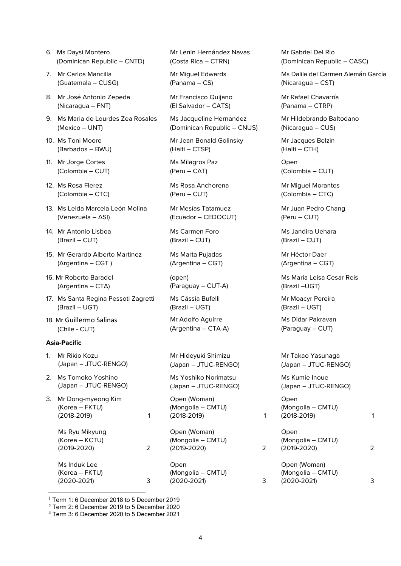- 6. Ms Daysi Montero (Dominican Republic – CNTD)
- 7. Mr Carlos Mancilla (Guatemala – CUSG)
- 8. Mr José Antonio Zepeda (Nicaragua – FNT)
- 9. Ms Maria de Lourdes Zea Rosales (Mexico – UNT)
- 10. Ms Toni Moore (Barbados – BWU)
- 11. Mr Jorge Cortes (Colombia – CUT)
- 12. Ms Rosa Flerez (Colombia – CTC)
- 13. Ms Leida Marcela León Molina (Venezuela – ASI)
- 14. Mr Antonio Lisboa (Brazil – CUT)
- 15. Mr Gerardo Alberto Martínez (Argentina – CGT )
- 16. Mr Roberto Baradel (Argentina – CTA)
- 17. Ms Santa Regina Pessoti Zagretti (Brazil – UGT)
- 18. Mr Guillermo Salinas (Chile - CUT)

#### **Asia-Pacific**

- 1. Mr Rikio Kozu (Japan – JTUC-RENGO)
- 2. Ms Tomoko Yoshino (Japan – JTUC-RENGO)
- 3. Mr Dong-myeong Kim (Korea – FKTU) (2018-2019) [1](#page-3-0)

Ms Ryu Mikyung (Korea – KCTU) (2019-2020) [2](#page-3-1)

Ms Induk Lee (Korea – FKTU) (2020-2021) [3](#page-3-2) Mr Lenin Hernández Navas (Costa Rica – CTRN)

Mr Miguel Edwards (Panama – CS)

Mr Francisco Quijano (El Salvador – CATS)

Ms Jacqueline Hernandez (Dominican Republic – CNUS)

Mr Jean Bonald Golinsky (Haiti – CTSP)

Ms Milagros Paz (Peru – CAT)

Ms Rosa Anchorena (Peru – CUT)

Mr Mesías Tatamuez (Ecuador – CEDOCUT)

Ms Carmen Foro (Brazil – CUT)

Ms Marta Pujadas (Argentina – CGT)

(open) (Paraguay – CUT-A)

Ms Cássia Bufelli (Brazil – UGT)

Mr Adolfo Aguirre (Argentina – CTA-A)

Mr Hideyuki Shimizu (Japan – JTUC-RENGO)

Ms Yoshiko Norimatsu (Japan – JTUC-RENGO)

Open (Woman) (Mongolia – CMTU) (2018-2019) 1

Open (Woman) (Mongolia – CMTU) (2019-2020) 2

Open (Mongolia – CMTU) (2020-2021) 3 Mr Gabriel Del Rio (Dominican Republic – CASC)

Ms Dalila del Carmen Alemán García (Nicaragua – CST)

Mr Rafael Chavarría (Panama – CTRP)

Mr Hildebrando Baltodano (Nicaragua – CUS)

Mr Jacques Belzin (Haiti – CTH)

Open (Colombia – CUT)

Mr Miguel Morantes (Colombia – CTC)

Mr Juan Pedro Chang (Peru – CUT)

Ms Jandira Uehara (Brazil – CUT)

Mr Héctor Daer (Argentina – CGT)

Ms Maria Leisa Cesar Reis (Brazil –UGT)

Mr Moacyr Pereira (Brazil – UGT)

Ms Didar Pakravan (Paraguay – CUT)

Mr Takao Yasunaga (Japan – JTUC-RENGO)

Ms Kumie Inoue (Japan – JTUC-RENGO)

Open (Mongolia – CMTU) (2018-2019) 1

**Open** (Mongolia – CMTU) (2019-2020) 2

Open (Woman) (Mongolia – CMTU) (2020-2021) 3

<span id="page-3-0"></span> $1$  Term 1: 6 December 2018 to 5 December 2019

<span id="page-3-2"></span><sup>3</sup> Term 3: 6 December 2020 to 5 December 2021

<span id="page-3-1"></span><sup>2</sup> Term 2: 6 December 2019 to 5 December 2020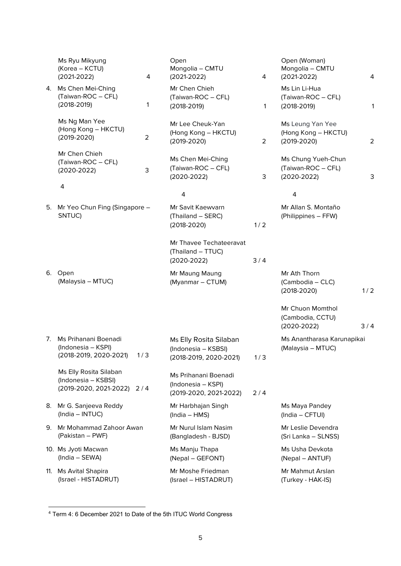|     | Ms Ryu Mikyung<br>(Korea – KCTU)<br>4<br>$(2021 - 2022)$                      | Open<br>Mongolia - CMTU<br>$(2021 - 2022)$                              | 4              | Open (Woman)<br>Mongolia - CMTU<br>$(2021 - 2022)$          | 4              |
|-----|-------------------------------------------------------------------------------|-------------------------------------------------------------------------|----------------|-------------------------------------------------------------|----------------|
| 4.  | Ms Chen Mei-Ching<br>(Taiwan-ROC - CFL)<br>1<br>$(2018-2019)$                 | Mr Chen Chieh<br>(Taiwan-ROC - CFL)<br>$(2018 - 2019)$                  | 1              | Ms Lin Li-Hua<br>(Taiwan-ROC - CFL)<br>$(2018 - 2019)$      | 1              |
|     | Ms Ng Man Yee<br>(Hong Kong - HKCTU)<br>$\overline{2}$<br>$(2019 - 2020)$     | Mr Lee Cheuk-Yan<br>(Hong Kong - HKCTU)<br>$(2019 - 2020)$              | $\overline{2}$ | Ms Leung Yan Yee<br>(Hong Kong - HKCTU)<br>$(2019 - 2020)$  | $\overline{2}$ |
|     | Mr Chen Chieh<br>(Taiwan-ROC - CFL)<br>3<br>$(2020-2022)$                     | Ms Chen Mei-Ching<br>(Taiwan-ROC - CFL)<br>$(2020 - 2022)$              | 3              | Ms Chung Yueh-Chun<br>(Taiwan-ROC - CFL)<br>$(2020 - 2022)$ | 3              |
|     | 4                                                                             | $\overline{\mathbf{4}}$                                                 |                | $\overline{\mathbf{4}}$                                     |                |
|     | 5. Mr Yeo Chun Fing (Singapore -<br>SNTUC)                                    | Mr Savit Kaewvarn<br>(Thailand - SERC)<br>$(2018 - 2020)$               | 1/2            | Mr Allan S. Montaño<br>(Philippines - FFW)                  |                |
|     |                                                                               | Mr Thavee Techateeravat<br>(Thailand - TTUC)<br>$(2020-2022)$           | 3/4            |                                                             |                |
|     | 6. Open<br>(Malaysia - MTUC)                                                  | Mr Maung Maung<br>(Myanmar - CTUM)                                      |                | Mr Ath Thorn<br>(Cambodia - CLC)<br>$(2018 - 2020)$         | 1/2            |
|     |                                                                               |                                                                         |                | Mr Chuon Momthol<br>(Cambodia, CCTU)<br>$(2020-2022)$       | 3/4            |
| 7.  | Ms Prihanani Boenadi<br>(Indonesia - KSPI)<br>(2018-2019, 2020-2021)<br>1/3   | Ms Elly Rosita Silaban<br>(Indonesia - KSBSI)<br>(2018-2019, 2020-2021) | 1/3            | Ms Anantharasa Karunapikai<br>(Malaysia - MTUC)             |                |
|     | Ms Elly Rosita Silaban<br>(Indonesia - KSBSI)<br>(2019-2020, 2021-2022) 2 / 4 | Ms Prihanani Boenadi<br>(Indonesia - KSPI)<br>(2019-2020, 2021-2022)    | 2/4            |                                                             |                |
| 8.  | Mr G. Sanjeeva Reddy<br>(India - INTUC)                                       | Mr Harbhajan Singh<br>(India - HMS)                                     |                | Ms Maya Pandey<br>(India - CFTUI)                           |                |
| 9.  | Mr Mohammad Zahoor Awan<br>(Pakistan – PWF)                                   | Mr Nurul Islam Nasim<br>(Bangladesh - BJSD)                             |                | Mr Leslie Devendra<br>(Sri Lanka – SLNSS)                   |                |
|     | 10. Ms Jyoti Macwan<br>(India - SEWA)                                         | Ms Manju Thapa<br>(Nepal - GEFONT)                                      |                | Ms Usha Devkota<br>(Nepal - ANTUF)                          |                |
| 11. | Ms Avital Shapira<br>(Israel - HISTADRUT)                                     | Mr Moshe Friedman<br>(Israel - HISTADRUT)                               |                | Mr Mahmut Arslan<br>(Turkey - HAK-IS)                       |                |

<span id="page-4-0"></span><sup>4</sup> Term 4: 6 December 2021 to Date of the 5th ITUC World Congress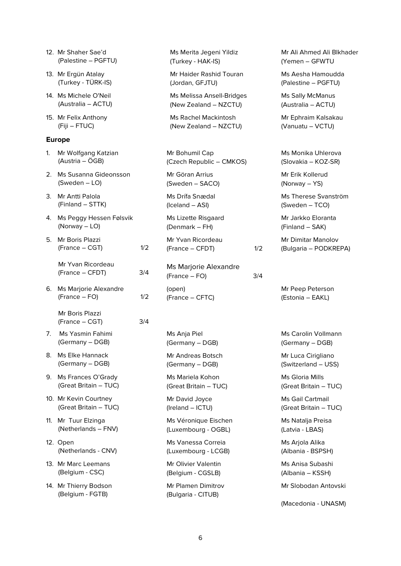|    | 12. Mr Shaher Sae'd<br>(Palestine – PGFTU)     |     | Ms Merita Jegeni Yildiz<br>(Turkey - HAK-IS)         |     | Mr Ali Ahmed Ali Blkhader<br>(Yemen - GFWTU |
|----|------------------------------------------------|-----|------------------------------------------------------|-----|---------------------------------------------|
|    | 13. Mr Ergün Atalay<br>(Turkey - TÜRK-IS)      |     | Mr Haider Rashid Touran<br>(Jordan, GFJTU)           |     | Ms Aesha Hamoudda<br>(Palestine - PGFTU)    |
|    | 14. Ms Michele O'Neil<br>(Australia - ACTU)    |     | Ms Melissa Ansell-Bridges<br>(New Zealand - NZCTU)   |     | Ms Sally McManus<br>(Australia - ACTU)      |
|    | 15. Mr Felix Anthony<br>(Fiji – FTUC)          |     | <b>Ms Rachel Mackintosh</b><br>(New Zealand - NZCTU) |     | Mr Ephraim Kalsakau<br>(Vanuatu - VCTU)     |
|    | <b>Europe</b>                                  |     |                                                      |     |                                             |
| 1. | Mr Wolfgang Katzian<br>(Austria – ÖGB)         |     | Mr Bohumil Cap<br>(Czech Republic - CMKOS)           |     | Ms Monika Uhlerova<br>(Slovakia – KOZ-SR)   |
|    | 2. Ms Susanna Gideonsson<br>(Sweden – LO)      |     | Mr Göran Arrius<br>(Sweden - SACO)                   |     | Mr Erik Kollerud<br>(Norway – YS)           |
|    | 3. Mr Antti Palola<br>(Finland - STTK)         |     | Ms Drífa Snædal<br>(Iceland - ASI)                   |     | Ms Therese Svanström<br>(Sweden - TCO)      |
|    | 4. Ms Peggy Hessen Følsvik<br>(Norway $-$ LO)  |     | Ms Lizette Risgaard<br>(Denmark – FH)                |     | Mr Jarkko Eloranta<br>(Finland - SAK)       |
| 5. | Mr Boris Plazzi<br>(France – CGT)              | 1/2 | Mr Yvan Ricordeau<br>(France - CFDT)                 | 1/2 | Mr Dimitar Manolov<br>(Bulgaria – PODKREPA) |
|    | Mr Yvan Ricordeau<br>(France - CFDT)           | 3/4 | Ms Marjorie Alexandre<br>(France – FO)               | 3/4 |                                             |
|    | 6. Ms Marjorie Alexandre<br>(France – FO)      | 1/2 | (open)<br>(France - CFTC)                            |     | Mr Peep Peterson<br>(Estonia - EAKL)        |
|    | Mr Boris Plazzi<br>(France – CGT)              | 3/4 |                                                      |     |                                             |
| 7. | Ms Yasmin Fahimi<br>(Germany - DGB)            |     | Ms Anja Piel<br>(Germany - DGB)                      |     | Ms Carolin Vollmann<br>(Germany - DGB)      |
| 8. | Ms Elke Hannack<br>(Germany - DGB)             |     | Mr Andreas Botsch<br>(Germany - DGB)                 |     | Mr Luca Cirigliano<br>(Switzerland - USS)   |
|    | 9. Ms Frances O'Grady<br>(Great Britain - TUC) |     | Ms Mariela Kohon<br>(Great Britain - TUC)            |     | Ms Gloria Mills<br>(Great Britain - TUC)    |
|    | 10. Mr Kevin Courtney<br>(Great Britain - TUC) |     | Mr David Joyce<br>(Ireland - ICTU)                   |     | Ms Gail Cartmail<br>(Great Britain - TUC)   |
|    | 11. Mr Tuur Elzinga<br>(Netherlands - FNV)     |     | Ms Véronique Eischen<br>(Luxembourg - OGBL)          |     | Ms Natalja Preisa<br>(Latvia - LBAS)        |
|    | 12. Open<br>(Netherlands - CNV)                |     | Ms Vanessa Correia<br>(Luxembourg - LCGB)            |     | Ms Arjola Alika<br>(Albania - BSPSH)        |
|    | 13. Mr Marc Leemans<br>(Belgium - CSC)         |     | Mr Olivier Valentin<br>(Belgium - CGSLB)             |     | Ms Anisa Subashi<br>(Albania – KSSH)        |
|    | 14. Mr Thierry Bodson<br>(Belgium - FGTB)      |     | Mr Plamen Dimitrov<br>(Bulgaria - CITUB)             |     | Mr Slobodan Antovski                        |
|    |                                                |     |                                                      |     | (Macedonia - UNASM)                         |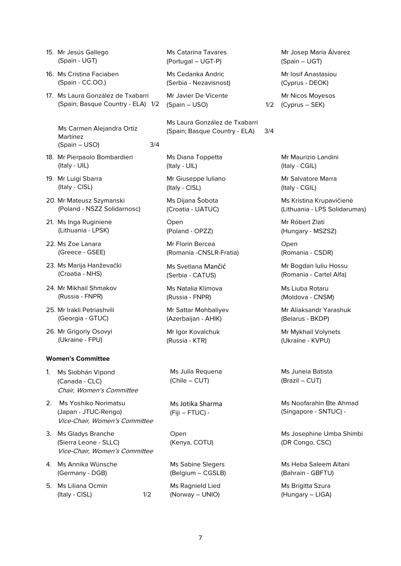- 16. Ms Cristina Faciaben (Spain - CC.OO.)
- 17. Ms Laura González de Txabarri (Spain; Basque Country - ELA) 1/2

Ms Carmen Alejandra Ortíz Martínez  $(Spain - USO)$  3/4

- 18. Mr Pierpaolo Bombardieri (Italy - UIL)
- 19. Mr Luigi Sbarra (Italy - CISL)
- 20. Mr Mateusz Szymanski (Poland - NSZZ Solidarnosc)
- 21. Ms Inga Ruginienė (Lithuania - LPSK)
- 22. Ms Zoe Lanara (Greece - GSEE)
- 23. Ms Marija Hanževački (Croatia - NHS)
- 24. Mr Mikhail Shmakov (Russia - FNPR)
- 25. Mr lrakli Petriashvili (Georgia - GTUC)
- 26. Mr Grigoriy Osovyi (Ukraine - FPU)

#### **Women's Committee**

- 1. Ms Siobhán Vipond (Canada - CLC) Chair, Women's Committee
- 2. Ms Yoshiko Norimatsu (Japan - JTUC-Rengo) Vice-Chair, Women's Committee
- 3. Ms Gladys Branche (Sierra Leone - SLLC) Vice-Chair, Women's Committee
- 4. Ms Annika Wünsche (Germany - DGB)
- 5. Ms Liliana Ocmin  $($ Italy - CISL $)$   $1/2$

Ms Catarina Tavares (Portugal – UGT-P)

Ms Cedanka Andric (Serbia - Nezavisnost)

Mr Javier De Vicente  $(Spain - USO)$ 

Ms Laura González de Txabarri (Spain; Basque Country - ELA) 3/4

Ms Diana Toppetta (Italy - UIL)

Mr Giuseppe Iuliano (Italy - CISL)

Ms Dijana Šobota (Croatia - UATUC)

Open (Poland - OPZZ)

Mr Florin Bercea (Romania -CNSLR-Fratia)

Ms Svetlana Mančić (Serbia - CATUS)

Ms Natalia Klimova (Russia - FNPR)

Mr Sattar Mohbaliyev (Azerbaijan - AHIK)

Mr Igor Kovalchuk (Russia - KTR)

Ms Julia Requena (Chile – CUT)

Ms Jotika Sharma (Fiji – FTUC) -

Open (Kenya, COTU)

Ms Sabine Slegers (Belgium – CGSLB)

Ms Ragnield Lied (Norway – UNIO)

Mr Josep María Álvarez (Spain – UGT) Mr Iosif Anastasiou (Cyprus - DEOK)

Mr Nicos Moyesos (Cyprus – SEK)

> Mr Maurizio Landini (Italy - CGIL)

Mr Salvatore Marra (Italy - CGIL)

Ms Kristina Krupavičienė (Lithuania - LPS Solidarumas)

Mr Róbert Zlati (Hungary - MSZSZ)

Open (Romania - CSDR)

Mr Bogdan luliu Hossu (Romania - Cartel Alfa)

Ms Liuba Rotaru (Moldova - CNSM)

Mr Aliaksandr Yarashuk (Belarus - BKDP)

Mr Mykhail Volynets (Ukraine - KVPU)

Ms Juneia Batista (Brazil – CUT)

Ms Noofarahin Bte Ahmad (Singapore - SNTUC) -

Ms Josephine Umba Shimbi (DR Congo, CSC)

Ms Heba Saleem Altani (Bahrain - GBFTU)

Ms Brigitta Szura (Hungary – LIGA)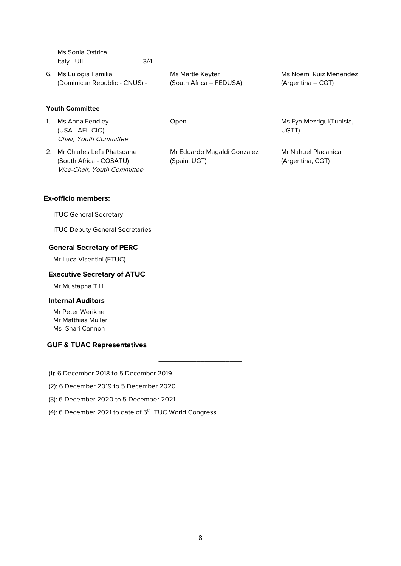Ms Sonia Ostrica Italy - UIL 3/4

6. Ms Eulogia Familia (Dominican Republic - CNUS) - Ms Martle Keyter (South Africa – FEDUSA) Ms Noemi Ruiz Menendez (Argentina – CGT)

# **Youth Committee**

1. Ms Anna Fendley (USA - AFL-CIO) Chair, Youth Committee

2. Mr Charles Lefa Phatsoane (South Africa - COSATU) Vice-Chair, Youth Committee

Mr Eduardo Magaldi Gonzalez (Spain, UGT)

Open Ms Eya Mezrigui(Tunisia, UGTT)

> Mr Nahuel Placanica (Argentina, CGT)

# **Ex-officio members:**

ITUC General Secretary

ITUC Deputy General Secretaries

### **General Secretary of PERC**

Mr Luca Visentini (ETUC)

# **Executive Secretary of ATUC**

Mr Mustapha Tlili

#### **Internal Auditors**

Mr Peter Werikhe Mr Matthias Müller Ms Shari Cannon

# **GUF & TUAC Representatives**

(1): 6 December 2018 to 5 December 2019

- (2): 6 December 2019 to 5 December 2020
- (3): 6 December 2020 to 5 December 2021
- (4): 6 December 2021 to date of 5<sup>th</sup> ITUC World Congress

\_\_\_\_\_\_\_\_\_\_\_\_\_\_\_\_\_\_\_\_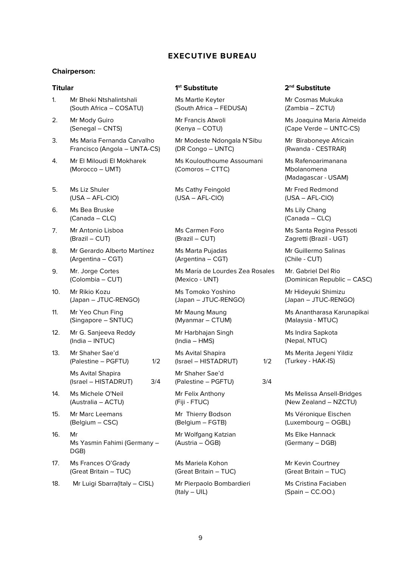# **EXECUTIVE BUREAU**

#### **Chairperson:**

- 1. Mr Bheki Ntshalintshali (South Africa – COSATU)
- 2. Mr Mody Guiro (Senegal – CNTS)
- 3. Ms Maria Fernanda Carvalho Francisco (Angola – UNTA-CS)
- 4. Mr El Miloudi El Mokharek (Morocco – UMT)
- 5. Ms Liz Shuler (USA – AFL-CIO)
- 6. Ms Bea Bruske (Canada – CLC)
- 7. Mr Antonio Lisboa (Brazil – CUT)
- 8. Mr Gerardo Alberto Martínez (Argentina – CGT)
- 9. Mr. Jorge Cortes (Colombia – CUT)
- 10. Mr Rikio Kozu (Japan – JTUC-RENGO)
- 11. Mr Yeo Chun Fing (Singapore – SNTUC)
- 12. Mr G. Sanjeeva Reddy (India – INTUC)
- 13. Mr Shaher Sae'd (Palestine – PGFTU) 1/2
	- Ms Avital Shapira (Israel – HISTADRUT) 3/4
- 14. Ms Michele O'Neil (Australia – ACTU)
- 15. Mr Marc Leemans (Belgium – CSC)
- 16. Mr Ms Yasmin Fahimi (Germany – DGB)
- 17. Ms Frances O'Grady (Great Britain – TUC)
- 18. Mr Luigi Sbarra(Italy CISL) Mr Pierpaolo Bombardieri

# **Titular 1st Substitute 2nd Substitute**

Ms Martle Keyter (South Africa – FEDUSA)

Mr Francis Atwoli (Kenya – COTU)

Mr Modeste Ndongala N'Sibu (DR Congo – UNTC)

Ms Koulouthoume Assoumani (Comoros – CTTC)

Ms Cathy Feingold (USA – AFL-CIO)

Ms Carmen Foro (Brazil – CUT)

Ms Marta Pujadas (Argentina – CGT)

Ms María de Lourdes Zea Rosales (Mexico - UNT)

Ms Tomoko Yoshino (Japan – JTUC-RENGO)

Mr Maung Maung (Myanmar – CTUM)

Mr Harbhajan Singh (India – HMS)

Ms Avital Shapira (Israel – HISTADRUT) 1/2

Mr Shaher Sae'd (Palestine – PGFTU) 3/4

Mr Felix Anthony (Fiji - FTUC)

Mr Thierry Bodson (Belgium – FGTB)

Mr Wolfgang Katzian (Austria – ÖGB)

Ms Mariela Kohon (Great Britain – TUC)

(Italy – UIL)

Mr Cosmas Mukuka (Zambia – ZCTU)

Ms Joaquina Maria Almeida (Cape Verde – UNTC-CS)

Mr Biraboneye Africain (Rwanda - CESTRAR)

Ms Rafenoarimanana Mbolanomena (Madagascar - USAM)

Mr Fred Redmond (USA – AFL-CIO)

Ms Lily Chang (Canada – CLC)

Ms Santa Regina Pessoti Zagretti (Brazil - UGT)

Mr Guillermo Salinas (Chile - CUT)

Mr. Gabriel Del Rio (Dominican Republic – CASC)

Mr Hideyuki Shimizu (Japan – JTUC-RENGO)

Ms Anantharasa Karunapikai (Malaysia - MTUC)

Ms Indira Sapkota (Nepal, NTUC)

Ms Merita Jegeni Yildiz (Turkey - HAK-IS)

Ms Melissa Ansell-Bridges (New Zealand – NZCTU)

Ms Véronique Eischen (Luxembourg – OGBL)

Ms Elke Hannack (Germany – DGB)

Mr Kevin Courtney (Great Britain – TUC)

Ms Cristina Faciaben (Spain – CC.OO.)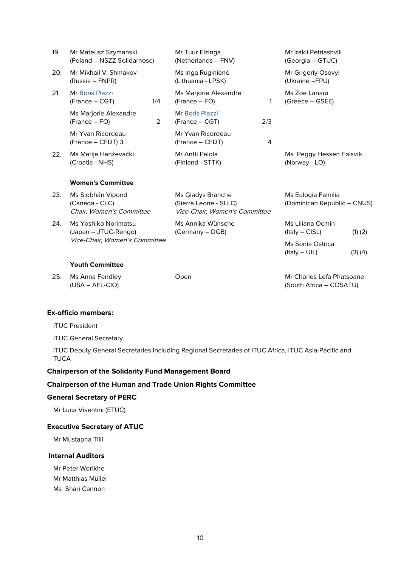| 19. | Mr Mateusz Szymanski<br>(Poland - NSZZ Solidarnosc)             |     | Mr Tuur Elzinga<br>(Netherlands - FNV)                                      |     | Mr Irakli Petriashvili<br>(Georgia – GTUC)           |             |
|-----|-----------------------------------------------------------------|-----|-----------------------------------------------------------------------------|-----|------------------------------------------------------|-------------|
| 20. | Mr Mikhail V. Shmakov<br>(Russia – FNPR)                        |     | Ms Inga Ruginienė<br>(Lithuania - LPSK)                                     |     | Mr Grigoriy Osovyi<br>(Ukraine - FPU)                |             |
| 21. | Mr Boris Plazzi<br>(France – CGT)                               | 1/4 | Ms Marjorie Alexandre<br>(France – FO)                                      | 1   | Ms Zoe Lanara<br>(Greece – GSEE)                     |             |
|     | Ms Marjorie Alexandre<br>(France – FO)                          | 2   | Mr Boris Plazzi<br>(France – CGT)                                           | 2/3 |                                                      |             |
|     | Mr Yvan Ricordeau<br>(France - CFDT) 3                          |     | Mr Yvan Ricordeau<br>(France - CFDT)                                        | 4   |                                                      |             |
| 22. | Ms Marija Hanževački<br>(Croatia - NHS)                         |     | Mr Antti Palola<br>(Finland - STTK)                                         |     | Ms Peggy Hessen Følsvik<br>(Norway - LO)             |             |
|     | <b>Women's Committee</b>                                        |     |                                                                             |     |                                                      |             |
| 23. | Ms Siobhán Vipond<br>(Canada - CLC)<br>Chair, Women's Committee |     | Ms Gladys Branche<br>(Sierra Leone - SLLC)<br>Vice-Chair, Women's Committee |     | Ms Eulogia Familia<br>(Dominican Republic - CNUS)    |             |
| 24. | Ms Yoshiko Norimatsu<br>(Japan - JTUC-Rengo)                    |     | Ms Annika Wünsche<br>(Germany - DGB)                                        |     | Ms Liliana Ocmin<br>$(ltaly - CISL)$                 | $(1)$ $(2)$ |
|     | Vice-Chair, Women's Committee                                   |     |                                                                             |     | <b>Ms Sonia Ostrica</b><br>$($ ltaly $-$ UIL $)$     | $(3)$ $(4)$ |
|     | <b>Youth Committee</b>                                          |     |                                                                             |     |                                                      |             |
| 25. | Ms Anna Fendley<br>$(USA - AFL-CIO)$                            |     | Open                                                                        |     | Mr Charles Lefa Phatsoane<br>(South Africa - COSATU) |             |

### **Ex-officio members:**

ITUC President

ITUC General Secretary

ITUC Deputy General Secretaries including Regional Secretaries of ITUC Africa, ITUC Asia-Pacific and **TUCA** 

# **Chairperson of the Solidarity Fund Management Board**

### **Chairperson of the Human and Trade Union Rights Committee**

### **General Secretary of PERC**

Mr Luca Visentini (ETUC)

### **Executive Secretary of ATUC**

Mr Mustapha Tlili

# **Internal Auditors**

Mr Peter Werikhe

Mr Matthias Müller

Ms Shari Cannon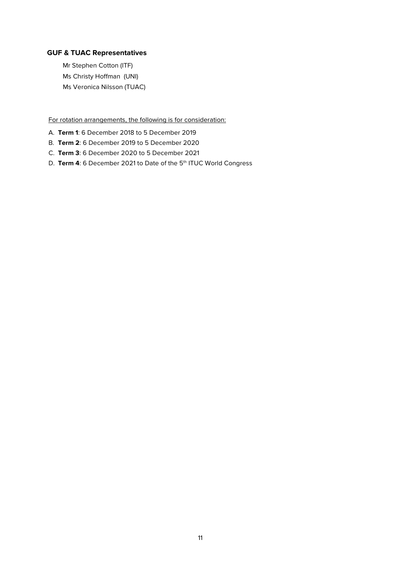# **GUF & TUAC Representatives**

Mr Stephen Cotton (ITF) Ms Christy Hoffman (UNI) Ms Veronica Nilsson (TUAC)

For rotation arrangements, the following is for consideration:

- A. **Term 1**: 6 December 2018 to 5 December 2019
- B. **Term 2**: 6 December 2019 to 5 December 2020
- C. **Term 3**: 6 December 2020 to 5 December 2021
- D. **Term 4**: 6 December 2021 to Date of the 5<sup>th</sup> ITUC World Congress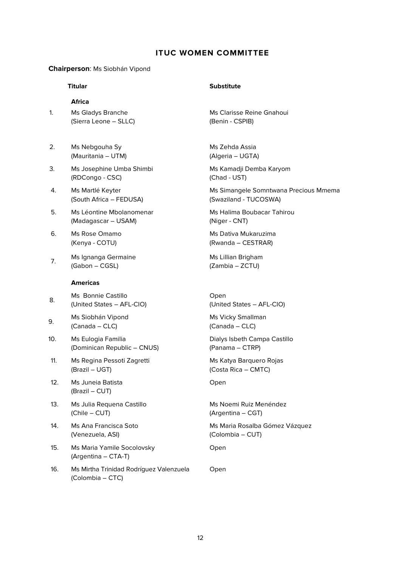# **ITUC WOMEN COMMITTEE**

#### **Chairperson**: Ms Siobhán Vipond

#### **Africa**

1. Ms Gladys Branche (Sierra Leone – SLLC)

- 2. Ms Nebgouha Sy (Mauritania – UTM)
- 3. Ms Josephine Umba Shimbi (RDCongo - CSC)
- 4. Ms Martlé Keyter (South Africa – FEDUSA)
- 5. Ms Léontine Mbolanomenar (Madagascar – USAM)
- 6. Ms Rose Omamo (Kenya - COTU)
- 7. Ms Ignanga Germaine (Gabon – CGSL)

#### **Americas**

- 8. Ms Bonnie Castillo (United States – AFL-CIO)
- 9. Ms Siobhán Vipond (Canada – CLC)
- 10. Ms Eulogia Familia (Dominican Republic – CNUS)
- 11. Ms Regina Pessoti Zagretti (Brazil – UGT)
- 12. Ms Juneia Batista (Brazil – CUT)
- 13. Ms Julia Requena Castillo (Chile – CUT)
- 14. Ms Ana Francisca Soto (Venezuela, ASI)
- 15. Ms Maria Yamile Socolovsky (Argentina – CTA-T)
- 16. Ms Mirtha Trinidad Rodríguez Valenzuela (Colombia – CTC)

# **Titular Substitute**

Ms Clarisse Reine Gnahoui (Benin - CSPIB)

Ms Zehda Assia (Algeria – UGTA)

Ms Kamadji Demba Karyom (Chad - UST)

Ms Simangele Somntwana Precious Mmema (Swaziland - TUCOSWA)

Ms Halima Boubacar Tahirou (Niger - CNT)

Ms Dativa Mukaruzima (Rwanda – CESTRAR)

Ms Lillian Brigham (Zambia – ZCTU)

Open (United States – AFL-CIO)

Ms Vicky Smallman (Canada – CLC)

Dialys Isbeth Campa Castillo (Panama – CTRP)

Ms Katya Barquero Rojas (Costa Rica – CMTC)

Open

Ms Noemi Ruiz Menéndez (Argentina – CGT)

Ms Maria Rosalba Gómez Vázquez (Colombia – CUT)

Open

Open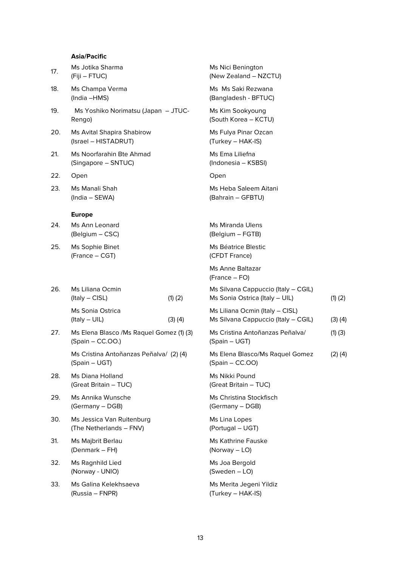# **Asia/Pacific**

| 17. | Ms Jotika Sharma<br>(Fiji – FTUC)                               |             | Ms Nici Benington<br>(New Zealand - NZCTU)                             |             |
|-----|-----------------------------------------------------------------|-------------|------------------------------------------------------------------------|-------------|
| 18. | Ms Champa Verma<br>(India -HMS)                                 |             | Ms Ms Saki Rezwana<br>(Bangladesh - BFTUC)                             |             |
| 19. | Ms Yoshiko Norimatsu (Japan - JTUC-<br>Rengo)                   |             | Ms Kim Sookyoung<br>(South Korea - KCTU)                               |             |
| 20. | Ms Avital Shapira Shabirow<br>(Israel - HISTADRUT)              |             | Ms Fulya Pinar Ozcan<br>(Turkey - HAK-IS)                              |             |
| 21. | Ms Noorfarahin Bte Ahmad<br>(Singapore - SNTUC)                 |             | Ms Ema Liliefna<br>(Indonesia - KSBSI)                                 |             |
| 22. | Open                                                            |             | Open                                                                   |             |
| 23. | Ms Manali Shah<br>(India - SEWA)                                |             | Ms Heba Saleem Aitani<br>(Bahrain - GFBTU)                             |             |
|     | <b>Europe</b>                                                   |             |                                                                        |             |
| 24. | Ms Ann Leonard<br>(Belgium - CSC)                               |             | <b>Ms Miranda Ulens</b><br>(Belgium - FGTB)                            |             |
| 25. | Ms Sophie Binet<br>(France - CGT)                               |             | Ms Béatrice Blestic<br>(CFDT France)                                   |             |
|     |                                                                 |             | Ms Anne Baltazar<br>(France – FO)                                      |             |
| 26. | Ms Liliana Ocmin<br>$($ ltaly – CISL $)$                        | $(1)$ $(2)$ | Ms Silvana Cappuccio (Italy - CGIL)<br>Ms Sonia Ostrica (Italy - UIL)  | $(1)$ $(2)$ |
|     | <b>Ms Sonia Ostrica</b><br>(Italy - UIL)                        | $(3)$ $(4)$ | Ms Liliana Ocmin (Italy - CISL)<br>Ms Silvana Cappuccio (Italy - CGIL) | $(3)$ $(4)$ |
| 27. | Ms Elena Blasco / Ms Raquel Gomez (1) (3)<br>$(Spain - CC.OO.)$ |             | Ms Cristina Antoñanzas Peñalva/<br>(Spain - UGT)                       | $(1)$ $(3)$ |
|     | Ms Cristina Antoñanzas Peñalva/ (2)(4)<br>(Spain – UGT)         |             | Ms Elena Blasco/Ms Raquel Gomez<br>$(Spain - CC.OO)$                   | $(2)$ $(4)$ |
| 28. | Ms Diana Holland<br>(Great Britain - TUC)                       |             | Ms Nikki Pound<br>(Great Britain - TUC)                                |             |
| 29. | Ms Annika Wunsche<br>(Germany - DGB)                            |             | Ms Christina Stockfisch<br>(Germany - DGB)                             |             |
| 30. | Ms Jessica Van Ruitenburg<br>(The Netherlands - FNV)            |             | Ms Lina Lopes<br>(Portugal - UGT)                                      |             |
| 31. | Ms Majbrit Berlau<br>(Denmark – FH)                             |             | <b>Ms Kathrine Fauske</b><br>(Norway $-$ LO)                           |             |
| 32. | Ms Ragnhild Lied<br>(Norway - UNIO)                             |             | Ms Joa Bergold<br>$(Sweden - LO)$                                      |             |
| 33. | Ms Galina Kelekhsaeva<br>(Russia – FNPR)                        |             | Ms Merita Jegeni Yildiz<br>(Turkey - HAK-IS)                           |             |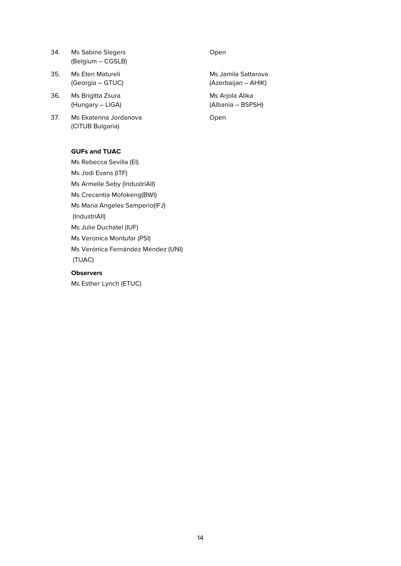- 34. Ms Sabine Slegers (Belgium – CGSLB)
- 35. Ms Eteri Matureli (Georgia – GTUC)
- 36. Ms Brigitta Zsura (Hungary – LIGA)
- 37. Ms Ekaterina Jordanova (CITUB Bulgaria)

# **GUFs and TUAC**

Ms Rebecca Sevilla (EI) Ms Jodi Evans (ITF) Ms Armelle Seby (IndustriAll) Ms Crecentia Mofokeng(BWI) Ms Maria Angeles Samperio(IFJ) (IndustriAll) Ms Julie Duchatel (IUF) Ms Veronica Montufar (PSI) Ms Verónica Fernández Méndez (UNI) (TUAC)

# **Observers**

Ms Esther Lynch (ETUC)

### Open

Ms Jamila Sattarova (Azerbaijan – AHIK)

Ms Arjola Alika (Albania – BSPSH)

Open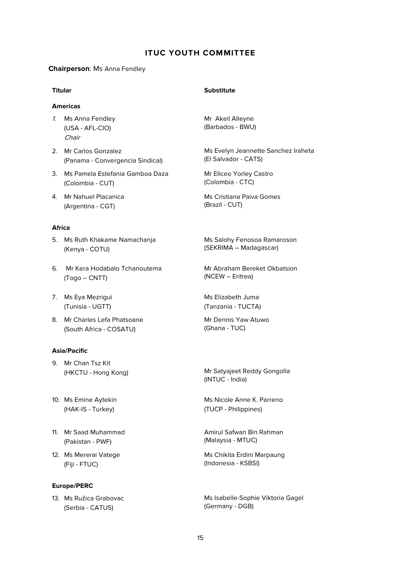# **ITUC YOUTH COMMITTEE**

#### **Chairperson**: Ms Anna Fendley

### **Americas**

- 1. Ms Anna Fendley (USA - AFL-CIO) Chair
- 2. Mr Carlos Gonzalez (Panama - Convergencia Sindical)
- 3. Ms Pamela Estefania Gamboa Daza (Colombia - CUT)
- 4. Mr Nahuel Placanica (Argentina - CGT)

#### **Africa**

- 5. Ms Ruth Khakame Namachanja (Kenya - COTU)
- 6. Mr Kera Hodabalo Tchanoutema (Togo – CNTT)
- 7. Ms Eya Mezrigui (Tunisia - UGTT)
- 8. Mr Charles Lefa Phatsoane (South Africa - COSATU)

#### **Asia/Pacific**

- 9. Mr Chan Tsz Kit
- 10. Ms Emine Aytekin (HAK-IS - Turkey)
- 11. Mr Saad Muhammad (Pakistan - PWF)
- 12. Ms Mererai Vatege (Fiji - FTUC)

#### **Europe/PERC**

13. Ms Ružica Grabovac (Serbia - CATUS)

#### **Titular Substitute**

Mr Akeil Alleyne (Barbados - BWU)

Ms Evelyn Jeannette Sanchez Iraheta (El Salvador - CATS)

Mr Eliceo Yorley Castro (Colombia - CTC)

Ms Cristiana Paiva Gomes (Brazil - CUT)

Ms Salohy Fenosoa Ramaroson (SEKRIMA – Madagascar)

Mr Abraham Bereket Okbatsion (NCEW – Eritrea)

Ms Elizabeth Juma (Tanzania - TUCTA)

Mr Dennis Yaw Atuwo (Ghana - TUC)

(HKCTU - Hong Kong) Mr Satyajeet Reddy Gongolla (INTUC - India)

> Ms Nicole Anne K. Parreno (TUCP - Philippines)

> Amirul Safwan Bin Rahman (Malaysia - MTUC)

Ms Chikita Erdini Marpaung (Indonesia - KSBSI)

Ms Isabelle-Sophie Viktoria Gagel (Germany - DGB)